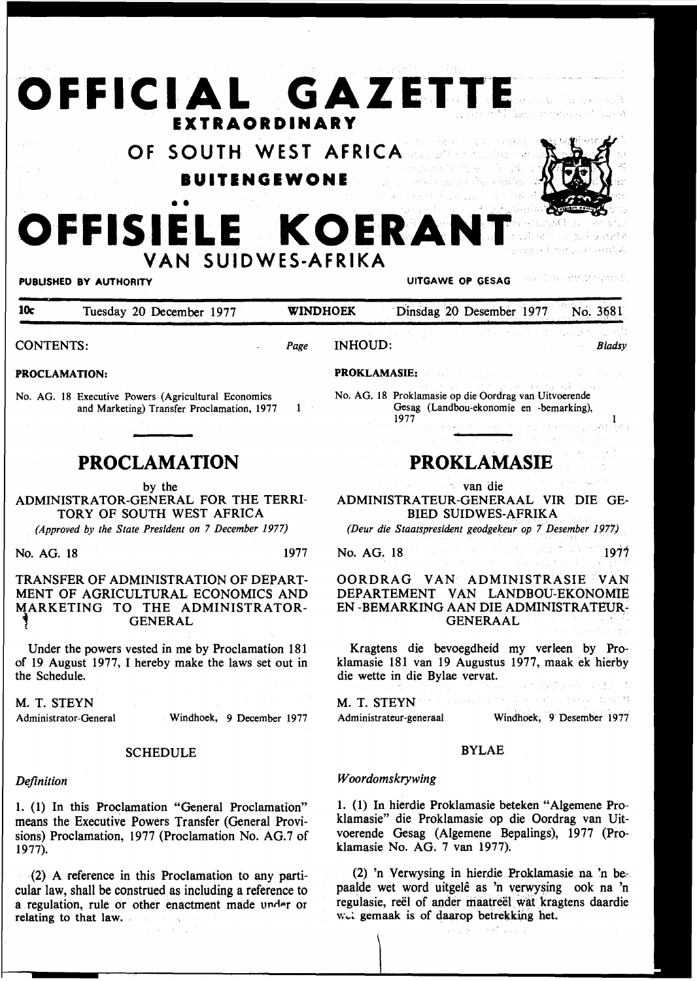# **OFFICIAL GAZETTE EXTRAORDINARY**

**VAN SUIDWES-AFRIKA** 

**OF SOUTH WEST AFRICA IUITENGEWONE**  e Sir

**OFFISIELE KOERANT** 

### PUBLISHED BY AUTHORITY **EXAGGE AT AUTHORITY UITGAWE OP GESAG**

10c Tuesday 20 December 1977 **WINDHOEK** Dinsdag 20 Desember 1977 No. 3681 CONTENTS: *Page*  INHOUD: *Bladsy* 

### PROCLAMATION:

No. AG. 18 Executive Powers (Agricultural Economics and Marketing) Transfer Proclamation, 1977

• •

### **PROCLAMATION**

### by the

ADMINISTRATOR-GENERAL FOR THE TERRI-TORY OF SOUTH WEST AFRICA

*(Approved by the State President on* 7 *December 1977)* 

No. AG. 18 1977

 $\mathbf{1}$ 

### TRANSFER OF ADMINISTRATION OF DEPART-MENT OF AGRICULTURAL ECONOMICS AND MARKETING TO THE ADMINISTRATOR-

Under the powers vested in me by Proclamation 181 of 19 August 1977, I hereby make the laws set out in the Schedule.

M. T. STEYN Administrator -General

Windhoek, 9 December 1977

### **SCHEDULE**

### *Definition*

1. (1) In this Proclamation "General Proclamation" means the Executive Powers Transfer (General Provisions) Proclamation, 1977 (Proclamation No. AG.7 of 1977).

(2) A reference in this Proclamation to any particular law, shall be construed as including a reference to a regulation, rule or other enactment made under or relating to that law.

## **PROKLAMASIE**

Gesag (Landbou-ekonomie en -bemarking),

No. AG. 18 Proklamasie op die Oordrag van Uitvoerende

van die

ADMINISTRATEUR-GENERAAL VIR DIE GE-BIED SUIDWES-AFRIKA

*(Deur die Staatspresident geodgekeur op* 7 *Desember 1977)* 

No. AG. 18 1977

OORDRAG VAN ADMINISTRASIE VAN DEPARTEMENT VAN LANDBOU~EKONOMIE EN -BEMARKING AAN DIE ADMINISTRATEUR-GENERAAL

Kragtens die bevoegdheid my verleen by Proklamasie 181 van 19 Augustus 1977, maak ek hierby die wette in die Bylae vervat.

 $\label{eq:1.1} \sqrt{\left( \frac{1}{2} \left( \frac{1}{2} \right) \sqrt{2} \left( \frac{1}{2} \right) \left( \frac{1}{2} \right) \left( \frac{1}{2} \right) \left( \frac{1}{2} \right) \left( \frac{1}{2} \right) \left( \frac{1}{2} \right) \left( \frac{1}{2} \right) \left( \frac{1}{2} \right) \left( \frac{1}{2} \right) \left( \frac{1}{2} \right) \left( \frac{1}{2} \right) \left( \frac{1}{2} \right) \left( \frac{1}{2} \right) \left( \frac{1}{2} \right$ 

# M. T. STEYN

PROKLAMASIE:

1977

Administrateur-generaal Windhoek, 9· Desember 1977

### BYLAE

### *Woordomskrywing*

1. (1) In hierdie Proklamasie beteken "Algemene Proklamasie" die Proklamasie op die Oordrag van Uitvoerende Gesag (Algemene Bepalings), 1977 (Proklamasie No. AG. 7 van 1977).

 $(2)$  'n Verwysing in hierdie Proklamasie na 'n bepaalde wet word uitgelê as 'n verwysing ook na 'n regulasie, reël of ander maatreël wat kragtens daardie wet gemaak is of daarop betrekking het.